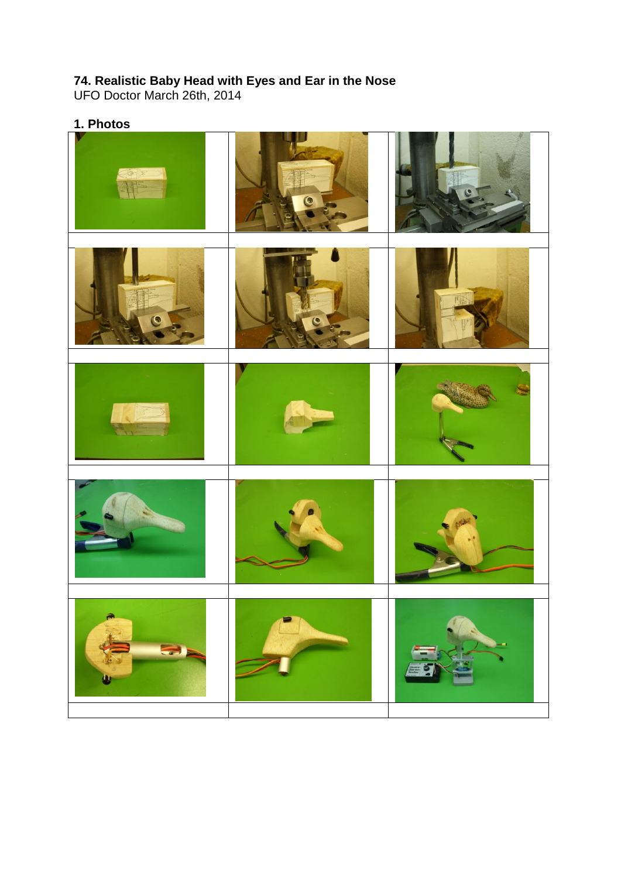## **74. Realistic Baby Head with Eyes and Ear in the Nose**

UFO Doctor March 26th, 2014

## **1. Photos**

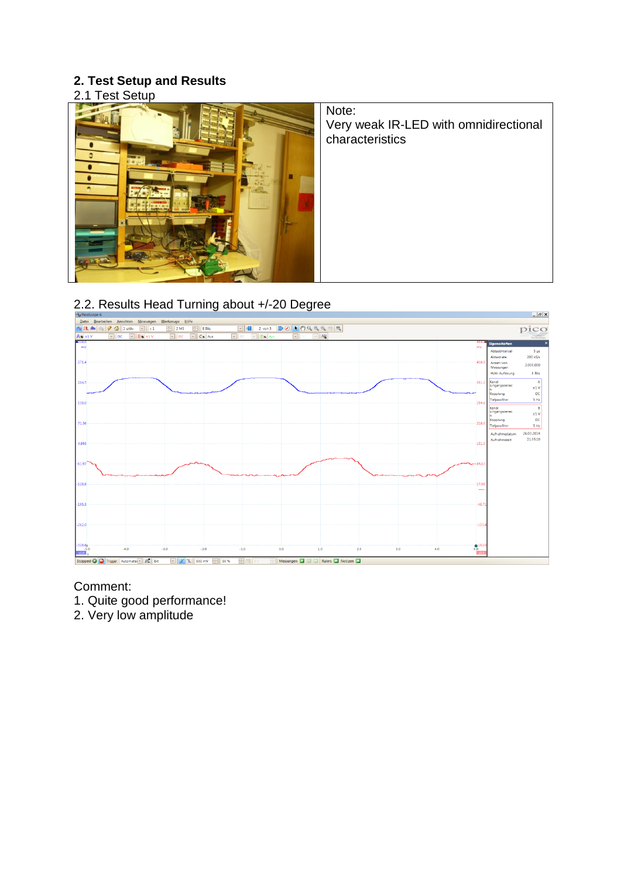## **2. Test Setup and Results**

2.1 Test Setup



Note: Very weak IR-LED with omnidirectional characteristics



Comment:

1. Quite good performance!

2. Very low amplitude